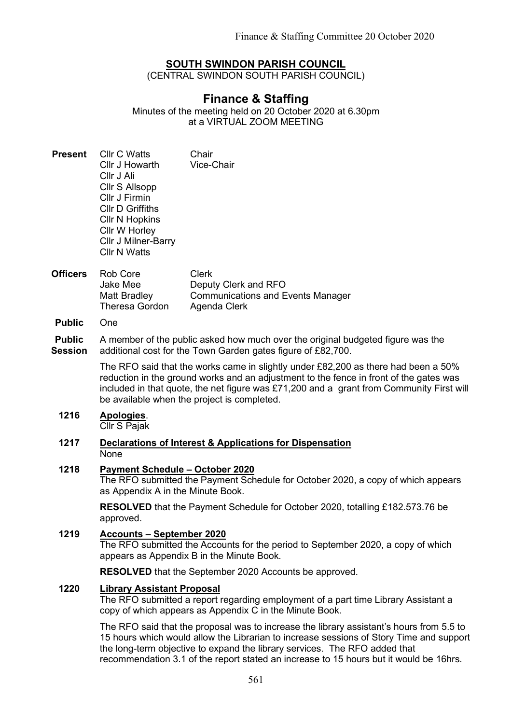## SOUTH SWINDON PARISH COUNCIL

(CENTRAL SWINDON SOUTH PARISH COUNCIL)

# Finance & Staffing

Minutes of the meeting held on 20 October 2020 at 6.30pm at a VIRTUAL ZOOM MEETING

- Present Cllr C Watts Cllr J Howarth Cllr J Ali Cllr S Allsopp Cllr J Firmin Cllr D Griffiths Cllr N Hopkins Cllr W Horley Cllr J Milner-Barry Cllr N Watts Chair Vice-Chair
- Officers Rob Core Jake Mee Matt Bradley Theresa Gordon Clerk Deputy Clerk and RFO Communications and Events Manager Agenda Clerk
- Public One

Public Session A member of the public asked how much over the original budgeted figure was the additional cost for the Town Garden gates figure of £82,700.

> The RFO said that the works came in slightly under £82,200 as there had been a 50% reduction in the ground works and an adjustment to the fence in front of the gates was included in that quote, the net figure was £71,200 and a grant from Community First will be available when the project is completed.

## 1216 Apologies.

Cllr S Pajak

#### 1217 Declarations of Interest & Applications for Dispensation None

#### 1218 Payment Schedule – October 2020

The RFO submitted the Payment Schedule for October 2020, a copy of which appears as Appendix A in the Minute Book.

RESOLVED that the Payment Schedule for October 2020, totalling £182.573.76 be approved.

## 1219 Accounts – September 2020

The RFO submitted the Accounts for the period to September 2020, a copy of which appears as Appendix B in the Minute Book.

RESOLVED that the September 2020 Accounts be approved.

#### 1220 Library Assistant Proposal

The RFO submitted a report regarding employment of a part time Library Assistant a copy of which appears as Appendix C in the Minute Book.

The RFO said that the proposal was to increase the library assistant's hours from 5.5 to 15 hours which would allow the Librarian to increase sessions of Story Time and support the long-term objective to expand the library services. The RFO added that recommendation 3.1 of the report stated an increase to 15 hours but it would be 16hrs.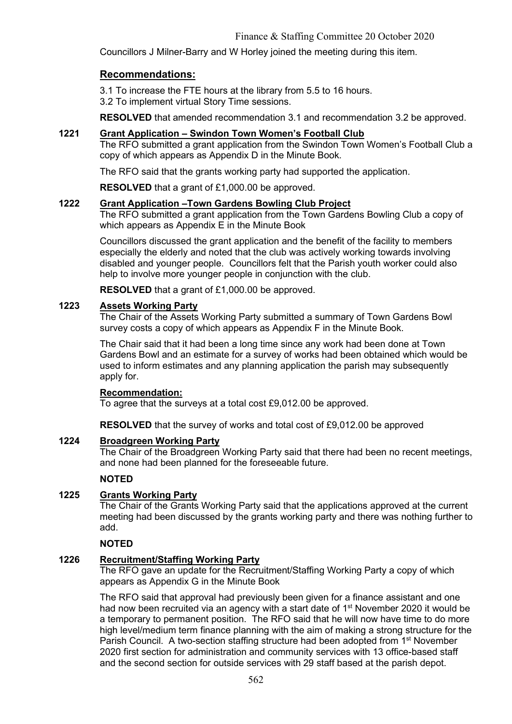Councillors J Milner-Barry and W Horley joined the meeting during this item.

## Recommendations:

3.1 To increase the FTE hours at the library from 5.5 to 16 hours. 3.2 To implement virtual Story Time sessions.

RESOLVED that amended recommendation 3.1 and recommendation 3.2 be approved.

#### 1221 Grant Application – Swindon Town Women's Football Club

The RFO submitted a grant application from the Swindon Town Women's Football Club a copy of which appears as Appendix D in the Minute Book.

The RFO said that the grants working party had supported the application.

RESOLVED that a grant of £1,000.00 be approved.

### 1222 Grant Application –Town Gardens Bowling Club Project

The RFO submitted a grant application from the Town Gardens Bowling Club a copy of which appears as Appendix E in the Minute Book

Councillors discussed the grant application and the benefit of the facility to members especially the elderly and noted that the club was actively working towards involving disabled and younger people. Councillors felt that the Parish youth worker could also help to involve more younger people in conjunction with the club.

RESOLVED that a grant of £1,000.00 be approved.

## 1223 Assets Working Party

The Chair of the Assets Working Party submitted a summary of Town Gardens Bowl survey costs a copy of which appears as Appendix F in the Minute Book.

The Chair said that it had been a long time since any work had been done at Town Gardens Bowl and an estimate for a survey of works had been obtained which would be used to inform estimates and any planning application the parish may subsequently apply for.

#### Recommendation:

To agree that the surveys at a total cost £9,012.00 be approved.

RESOLVED that the survey of works and total cost of £9,012.00 be approved

## 1224 Broadgreen Working Party

The Chair of the Broadgreen Working Party said that there had been no recent meetings, and none had been planned for the foreseeable future.

### **NOTED**

### 1225 Grants Working Party

The Chair of the Grants Working Party said that the applications approved at the current meeting had been discussed by the grants working party and there was nothing further to add.

### NOTED

## 1226 Recruitment/Staffing Working Party

The RFO gave an update for the Recruitment/Staffing Working Party a copy of which appears as Appendix G in the Minute Book

The RFO said that approval had previously been given for a finance assistant and one had now been recruited via an agency with a start date of 1<sup>st</sup> November 2020 it would be a temporary to permanent position. The RFO said that he will now have time to do more high level/medium term finance planning with the aim of making a strong structure for the Parish Council. A two-section staffing structure had been adopted from 1<sup>st</sup> November 2020 first section for administration and community services with 13 office-based staff and the second section for outside services with 29 staff based at the parish depot.